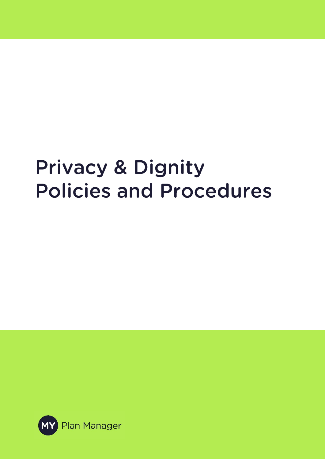# **Privacy & Dignity Policies and Procedures**

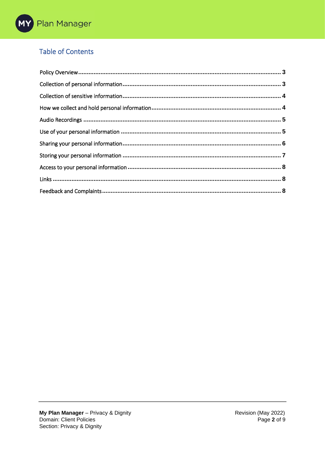# **Table of Contents**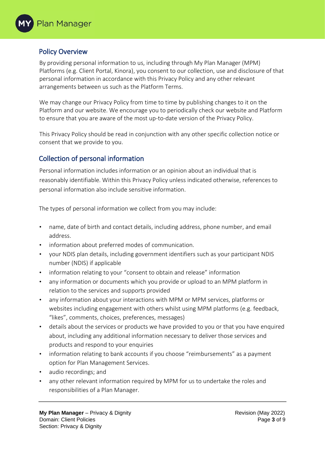#### <span id="page-2-0"></span>Policy Overview

By providing personal information to us, including through My Plan Manager (MPM) Platforms (e.g. Client Portal, Kinora), you consent to our collection, use and disclosure of that personal information in accordance with this Privacy Policy and any other relevant arrangements between us such as the Platform Terms.

We may change our Privacy Policy from time to time by publishing changes to it on the Platform and our website. We encourage you to periodically check our website and Platform to ensure that you are aware of the most up-to-date version of the Privacy Policy.

This Privacy Policy should be read in conjunction with any other specific collection notice or consent that we provide to you.

# <span id="page-2-1"></span>Collection of personal information

Personal information includes information or an opinion about an individual that is reasonably identifiable. Within this Privacy Policy unless indicated otherwise, references to personal information also include sensitive information.

The types of personal information we collect from you may include:

- name, date of birth and contact details, including address, phone number, and email address.
- information about preferred modes of communication.
- your NDIS plan details, including government identifiers such as your participant NDIS number (NDIS) if applicable
- information relating to your "consent to obtain and release" information
- any information or documents which you provide or upload to an MPM platform in relation to the services and supports provided
- any information about your interactions with MPM or MPM services, platforms or websites including engagement with others whilst using MPM platforms (e.g. feedback, "likes", comments, choices, preferences, messages)
- details about the services or products we have provided to you or that you have enquired about, including any additional information necessary to deliver those services and products and respond to your enquiries
- information relating to bank accounts if you choose "reimbursements" as a payment option for Plan Management Services.
- audio recordings; and
- any other relevant information required by MPM for us to undertake the roles and responsibilities of a Plan Manager.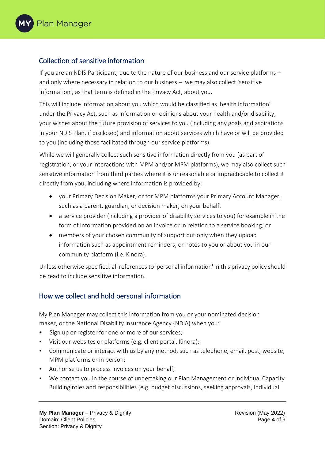### <span id="page-3-0"></span>Collection of sensitive information

If you are an NDIS Participant, due to the nature of our business and our service platforms – and only where necessary in relation to our business – we may also collect 'sensitive information', as that term is defined in the Privacy Act, about you.

This will include information about you which would be classified as 'health information' under the Privacy Act, such as information or opinions about your health and/or disability, your wishes about the future provision of services to you (including any goals and aspirations in your NDIS Plan, if disclosed) and information about services which have or will be provided to you (including those facilitated through our service platforms).

While we will generally collect such sensitive information directly from you (as part of registration, or your interactions with MPM and/or MPM platforms), we may also collect such sensitive information from third parties where it is unreasonable or impracticable to collect it directly from you, including where information is provided by:

- your Primary Decision Maker, or for MPM platforms your Primary Account Manager, such as a parent, guardian, or decision maker, on your behalf.
- a service provider (including a provider of disability services to you) for example in the form of information provided on an invoice or in relation to a service booking; or
- members of your chosen community of support but only when they upload information such as appointment reminders, or notes to you or about you in our community platform (i.e. Kinora).

Unless otherwise specified, all references to 'personal information' in this privacy policy should be read to include sensitive information.

#### <span id="page-3-1"></span>How we collect and hold personal information

My Plan Manager may collect this information from you or your nominated decision maker, or the National Disability Insurance Agency (NDIA) when you:

- Sign up or register for one or more of our services;
- Visit our websites or platforms (e.g. client portal, Kinora);
- Communicate or interact with us by any method, such as telephone, email, post, website, MPM platforms or in person;
- Authorise us to process invoices on your behalf;
- We contact you in the course of undertaking our Plan Management or Individual Capacity Building roles and responsibilities (e.g. budget discussions, seeking approvals, individual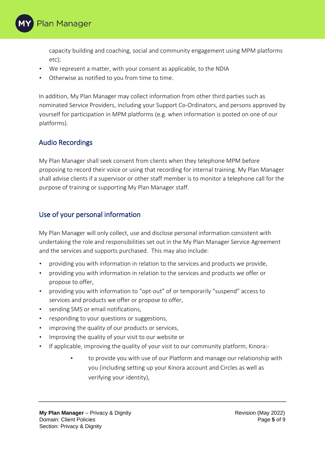

capacity building and coaching, social and community engagement using MPM platforms etc);

- We represent a matter, with your consent as applicable, to the NDIA
- Otherwise as notified to you from time to time.

In addition, My Plan Manager may collect information from other third parties such as nominated Service Providers, including your Support Co-Ordinators, and persons approved by yourself for participation in MPM platforms (e.g. when information is posted on one of our platforms).

#### <span id="page-4-0"></span>Audio Recordings

My Plan Manager shall seek consent from clients when they telephone MPM before proposing to record their voice or using that recording for internal training. My Plan Manager shall advise clients if a supervisor or other staff member is to monitor a telephone call for the purpose of training or supporting My Plan Manager staff.

#### <span id="page-4-1"></span>Use of your personal information

My Plan Manager will only collect, use and disclose personal information consistent with undertaking the role and responsibilities set out in the My Plan Manager Service Agreement and the services and supports purchased. This may also include:

- providing you with information in relation to the services and products we provide,
- providing you with information in relation to the services and products we offer or propose to offer,
- providing you with information to "opt-out" of or temporarily "suspend" access to services and products we offer or propose to offer,
- sending SMS or email notifications,
- responding to your questions or suggestions,
- improving the quality of our products or services,
- Improving the quality of your visit to our website or
- If applicable, improving the quality of your visit to our community platform, Kinora:
	- to provide you with use of our Platform and manage our relationship with you (including setting up your Kinora account and Circles as well as verifying your identity),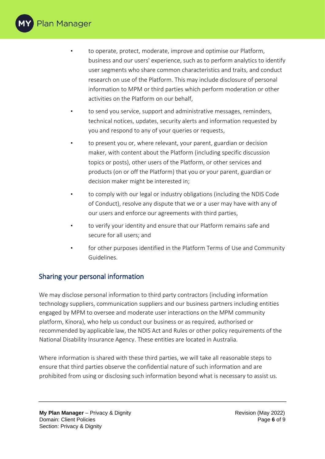

- to operate, protect, moderate, improve and optimise our Platform, business and our users' experience, such as to perform analytics to identify user segments who share common characteristics and traits, and conduct research on use of the Platform. This may include disclosure of personal information to MPM or third parties which perform moderation or other activities on the Platform on our behalf,
- to send you service, support and administrative messages, reminders, technical notices, updates, security alerts and information requested by you and respond to any of your queries or requests,
- to present you or, where relevant, your parent, guardian or decision maker, with content about the Platform (including specific discussion topics or posts), other users of the Platform, or other services and products (on or off the Platform) that you or your parent, guardian or decision maker might be interested in;
- to comply with our legal or industry obligations (including the NDIS Code of Conduct), resolve any dispute that we or a user may have with any of our users and enforce our agreements with third parties,
- to verify your identity and ensure that our Platform remains safe and secure for all users; and
- for other purposes identified in the Platform Terms of Use and Community Guidelines.

# <span id="page-5-0"></span>Sharing your personal information

We may disclose personal information to third party contractors (including information technology suppliers, communication suppliers and our business partners including entities engaged by MPM to oversee and moderate user interactions on the MPM community platform, Kinora), who help us conduct our business or as required, authorised or recommended by applicable law, the NDIS Act and Rules or other policy requirements of the National Disability Insurance Agency. These entities are located in Australia.

Where information is shared with these third parties, we will take all reasonable steps to ensure that third parties observe the confidential nature of such information and are prohibited from using or disclosing such information beyond what is necessary to assist us.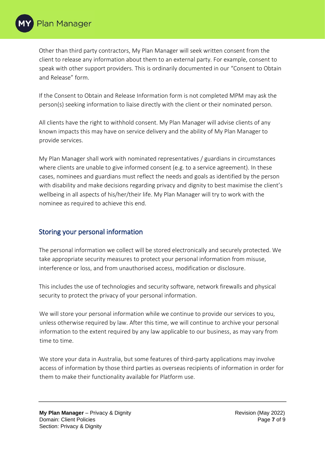Other than third party contractors, My Plan Manager will seek written consent from the client to release any information about them to an external party. For example, consent to speak with other support providers. This is ordinarily documented in our "Consent to Obtain and Release" form.

If the Consent to Obtain and Release Information form is not completed MPM may ask the person(s) seeking information to liaise directly with the client or their nominated person.

All clients have the right to withhold consent. My Plan Manager will advise clients of any known impacts this may have on service delivery and the ability of My Plan Manager to provide services.

My Plan Manager shall work with nominated representatives / guardians in circumstances where clients are unable to give informed consent (e.g. to a service agreement). In these cases, nominees and guardians must reflect the needs and goals as identified by the person with disability and make decisions regarding privacy and dignity to best maximise the client's wellbeing in all aspects of his/her/their life. My Plan Manager will try to work with the nominee as required to achieve this end.

# <span id="page-6-0"></span>Storing your personal information

The personal information we collect will be stored electronically and securely protected. We take appropriate security measures to protect your personal information from misuse, interference or loss, and from unauthorised access, modification or disclosure.

This includes the use of technologies and security software, network firewalls and physical security to protect the privacy of your personal information.

We will store your personal information while we continue to provide our services to you, unless otherwise required by law. After this time, we will continue to archive your personal information to the extent required by any law applicable to our business, as may vary from time to time.

We store your data in Australia, but some features of third-party applications may involve access of information by those third parties as overseas recipients of information in order for them to make their functionality available for Platform use.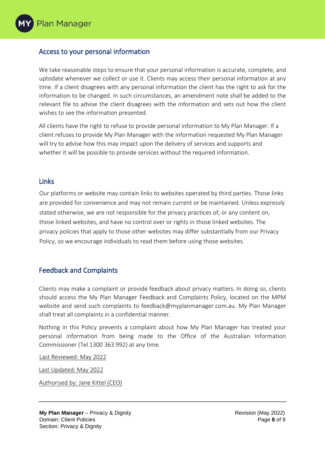#### <span id="page-7-0"></span>Access to your personal information

We take reasonable steps to ensure that your personal information is accurate, complete, and uptodate whenever we collect or use it. Clients may access their personal information at any time. If a client disagrees with any personal information the client has the right to ask for the information to be changed. In such circumstances, an amendment note shall be added to the relevant file to advise the client disagrees with the information and sets out how the client wishes to see the information presented.

All clients have the right to refuse to provide personal information to My Plan Manager. If a client refuses to provide My Plan Manager with the information requested My Plan Manager will try to advise how this may impact upon the delivery of services and supports and whether it will be possible to provide services without the required information.

#### <span id="page-7-1"></span>Links

Our platforms or website may contain links to websites operated by third parties. Those links are provided for convenience and may not remain current or be maintained. Unless expressly stated otherwise, we are not responsible for the privacy practices of, or any content on, those linked websites, and have no control over or rights in those linked websites. The privacy policies that apply to those other websites may differ substantially from our Privacy Policy, so we encourage individuals to read them before using those websites.

#### <span id="page-7-2"></span>Feedback and Complaints

Clients may make a complaint or provide feedback about privacy matters. In doing so, clients should access the My Plan Manager Feedback and Complaints Policy, located on the MPM website and send such complaints to feedback@myplanmanager.com.au. My Plan Manager shall treat all complaints in a confidential manner.

Nothing in this Policy prevents a complaint about how My Plan Manager has treated your personal information from being made to the Office of the Australian Information Commissioner (Tel 1300 363 992) at any time.

Last Reviewed: May 2022

Last Updated: May 2022

Authorised by: Jane Kittel (CEO)